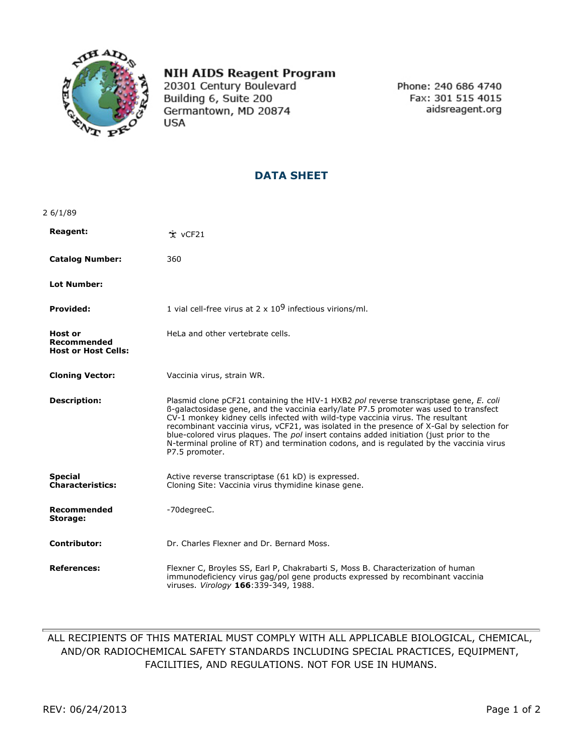

## **NIH AIDS Reagent Program**

20301 Century Boulevard Building 6, Suite 200 Germantown, MD 20874 **USA** 

Phone: 240 686 4740 Fax: 301 515 4015 aidsreagent.org

## **DATA SHEET**

| 26/1/89                                                     |                                                                                                                                                                                                                                                                                                                                                                                                                                                                                                                                                                        |
|-------------------------------------------------------------|------------------------------------------------------------------------------------------------------------------------------------------------------------------------------------------------------------------------------------------------------------------------------------------------------------------------------------------------------------------------------------------------------------------------------------------------------------------------------------------------------------------------------------------------------------------------|
| <b>Reagent:</b>                                             | $\dot{\tau}$ vCF21                                                                                                                                                                                                                                                                                                                                                                                                                                                                                                                                                     |
| <b>Catalog Number:</b>                                      | 360                                                                                                                                                                                                                                                                                                                                                                                                                                                                                                                                                                    |
| <b>Lot Number:</b>                                          |                                                                                                                                                                                                                                                                                                                                                                                                                                                                                                                                                                        |
| <b>Provided:</b>                                            | 1 vial cell-free virus at 2 x $109$ infectious virions/ml.                                                                                                                                                                                                                                                                                                                                                                                                                                                                                                             |
| Host or<br><b>Recommended</b><br><b>Host or Host Cells:</b> | HeLa and other vertebrate cells.                                                                                                                                                                                                                                                                                                                                                                                                                                                                                                                                       |
| <b>Cloning Vector:</b>                                      | Vaccinia virus, strain WR.                                                                                                                                                                                                                                                                                                                                                                                                                                                                                                                                             |
| <b>Description:</b>                                         | Plasmid clone pCF21 containing the HIV-1 HXB2 pol reverse transcriptase gene, E. coli<br>ß-galactosidase gene, and the vaccinia early/late P7.5 promoter was used to transfect<br>CV-1 monkey kidney cells infected with wild-type vaccinia virus. The resultant<br>recombinant vaccinia virus, vCF21, was isolated in the presence of X-Gal by selection for<br>blue-colored virus plaques. The pol insert contains added initiation (just prior to the<br>N-terminal proline of RT) and termination codons, and is regulated by the vaccinia virus<br>P7.5 promoter. |
| <b>Special</b><br><b>Characteristics:</b>                   | Active reverse transcriptase (61 kD) is expressed.<br>Cloning Site: Vaccinia virus thymidine kinase gene.                                                                                                                                                                                                                                                                                                                                                                                                                                                              |
| Recommended<br>Storage:                                     | -70degreeC.                                                                                                                                                                                                                                                                                                                                                                                                                                                                                                                                                            |
| <b>Contributor:</b>                                         | Dr. Charles Flexner and Dr. Bernard Moss.                                                                                                                                                                                                                                                                                                                                                                                                                                                                                                                              |
| <b>References:</b>                                          | Flexner C, Broyles SS, Earl P, Chakrabarti S, Moss B. Characterization of human<br>immunodeficiency virus gag/pol gene products expressed by recombinant vaccinia<br>viruses. Virology 166:339-349, 1988.                                                                                                                                                                                                                                                                                                                                                              |

## ALL RECIPIENTS OF THIS MATERIAL MUST COMPLY WITH ALL APPLICABLE BIOLOGICAL, CHEMICAL, AND/OR RADIOCHEMICAL SAFETY STANDARDS INCLUDING SPECIAL PRACTICES, EQUIPMENT, FACILITIES, AND REGULATIONS. NOT FOR USE IN HUMANS.